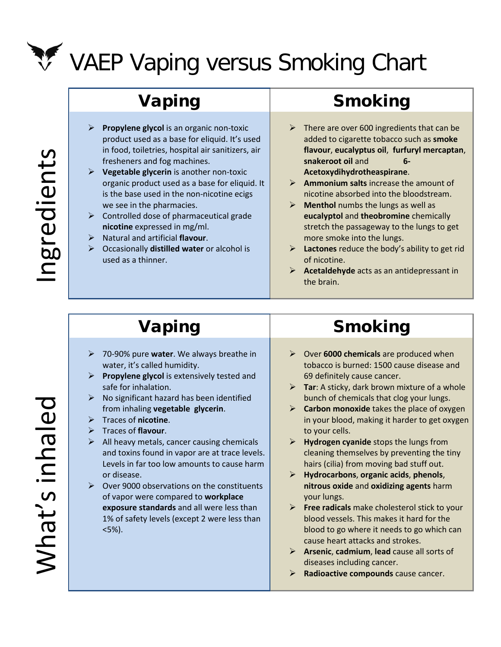

# VAEP Vaping versus Smoking Chart

- **Propylene glycol** is an organic non-toxic product used as a base for eliquid. It's used in food, toiletries, hospital air sanitizers, air fresheners and fog machines.
- **Vegetable glycerin** is another non-toxic organic product used as a base for eliquid. It is the base used in the non-nicotine ecigs we see in the pharmacies.
- $\triangleright$  Controlled dose of pharmaceutical grade **nicotine** expressed in mg/ml.
- Natural and artificial **flavour**.
- Occasionally **distilled water** or alcohol is used as a thinner.

# Vaping | Smoking

- $\triangleright$  There are over 600 ingredients that can be added to cigarette tobacco such as **smoke flavour**, **eucalyptus oil**, **furfuryl mercaptan**, **snakeroot oil** and **6-**
	- **Acetoxydihydrotheaspirane**.
- **Ammonium salts** increase the amount of nicotine absorbed into the bloodstream.
- **Menthol** numbs the lungs as well as **eucalyptol** and **theobromine** chemically stretch the passageway to the lungs to get more smoke into the lungs.
- **Lactones** reduce the body's ability to get rid of nicotine.
- **Acetaldehyde** acts as an antidepressant in the brain.

- 70-90% pure **water**. We always breathe in water, it's called humidity.
- **Propylene glycol** is extensively tested and safe for inhalation.
- $\triangleright$  No significant hazard has been identified from inhaling **vegetable glycerin**.
- Traces of **nicotine**.
- Traces of **flavour**.
- $\triangleright$  All heavy metals, cancer causing chemicals and toxins found in vapor are at trace levels. Levels in far too low amounts to cause harm or disease.
- $\triangleright$  Over 9000 observations on the constituents of vapor were compared to **workplace exposure standards** and all were less than 1% of safety levels (except 2 were less than <5%).

## Vaping Reserves Smoking

- Over **6000 chemicals** are produced when tobacco is burned: 1500 cause disease and 69 definitely cause cancer.
- **Tar**: A sticky, dark brown mixture of a whole bunch of chemicals that clog your lungs.
- **Carbon monoxide** takes the place of oxygen in your blood, making it harder to get oxygen to your cells.
- **Hydrogen cyanide** stops the lungs from cleaning themselves by preventing the tiny hairs (cilia) from moving bad stuff out.
- **Hydrocarbons**, **organic acids**, **phenols**, **nitrous oxide** and **oxidizing agents** harm your lungs.
- **Free radicals** make cholesterol stick to your blood vessels. This makes it hard for the blood to go where it needs to go which can cause heart attacks and strokes.
- **Arsenic**, **cadmium**, **lead** cause all sorts of diseases including cancer.
- **Radioactive compounds** cause cancer.

What's inhaled hat's inhaled

ngredients Ingredients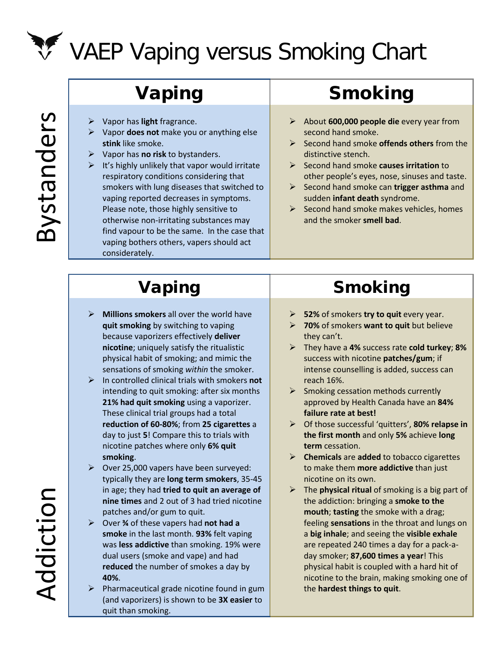

# VAEP Vaping versus Smoking Chart

Bystanders Bystanders

- Vapor has **light** fragrance.
- Vapor **does not** make you or anything else **stink** like smoke.
- Vapor has **no risk** to bystanders.
- $\triangleright$  It's highly unlikely that vapor would irritate respiratory conditions considering that smokers with lung diseases that switched to vaping reported decreases in symptoms. Please note, those highly sensitive to otherwise non-irritating substances may find vapour to be the same. In the case that vaping bothers others, vapers should act considerately.

# Vaping | Smoking

- About **600,000 people die** every year from second hand smoke.
- Second hand smoke **offends others** from the distinctive stench.
- Second hand smoke **causes irritation** to other people's eyes, nose, sinuses and taste.
- Second hand smoke can **trigger asthma** and sudden **infant death** syndrome.
- $\triangleright$  Second hand smoke makes vehicles, homes and the smoker **smell bad**.

- **Millions smokers** all over the world have **quit smoking** by switching to vaping because vaporizers effectively **deliver nicotine**; uniquely satisfy the ritualistic physical habit of smoking; and mimic the sensations of smoking *within* the smoker.
- In controlled clinical trials with smokers **not** intending to quit smoking: after six months **21% had quit smoking** using a vaporizer. These clinical trial groups had a total **reduction of 60-80%**; from **25 cigarettes** a day to just **5**! Compare this to trials with nicotine patches where only **6% quit smoking**.
- $\triangleright$  Over 25,000 vapers have been surveyed: typically they are **long term smokers**, 35-45 in age; they had **tried to quit an average of nine times** and 2 out of 3 had tried nicotine patches and/or gum to quit.
- Over **¾** of these vapers had **not had a smoke** in the last month. **93%** felt vaping was **less addictive** than smoking. 19% were dual users (smoke and vape) and had **reduced** the number of smokes a day by **40%**.
- $\triangleright$  Pharmaceutical grade nicotine found in gum (and vaporizers) is shown to be **3X easier** to quit than smoking.

# Vaping Reserves Smoking

- **52%** of smokers **try to quit** every year.
- **70%** of smokers **want to quit** but believe they can't.
- They have a **4%** success rate **cold turkey**; **8%** success with nicotine **patches/gum**; if intense counselling is added, success can reach 16%.
- $\triangleright$  Smoking cessation methods currently approved by Health Canada have an **84% failure rate at best!**
- Of those successful 'quitters', **80% relapse in the first month** and only **5%** achieve **long term** cessation.
- **Chemicals** are **added** to tobacco cigarettes to make them **more addictive** than just nicotine on its own.
- The **physical ritual** of smoking is a big part of the addiction: bringing a **smoke to the mouth**; **tasting** the smoke with a drag; feeling **sensations** in the throat and lungs on a **big inhale**; and seeing the **visible exhale** are repeated 240 times a day for a pack-aday smoker; **87,600 times a year**! This physical habit is coupled with a hard hit of nicotine to the brain, making smoking one of the **hardest things to quit**.